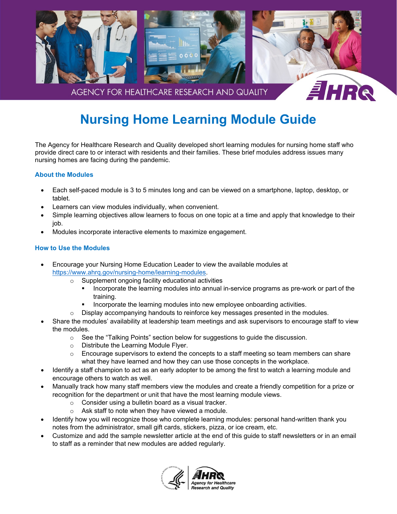

# **Nursing Home Learning Module Guide**

The Agency for Healthcare Research and Quality developed short learning modules for nursing home staff who provide direct care to or interact with residents and their families. These brief modules address issues many nursing homes are facing during the pandemic.

## **About the Modules**

- Each self-paced module is 3 to 5 minutes long and can be viewed on a smartphone, laptop, desktop, or tablet.
- Learners can view modules individually, when convenient.
- Simple learning objectives allow learners to focus on one topic at a time and apply that knowledge to their job.
- Modules incorporate interactive elements to maximize engagement.

## **How to Use the Modules**

- Encourage your Nursing Home Education Leader to view the available modules at [https://www.ahrq.gov/nursing-home/learning-modules.](https://www.ahrq.gov/nursing-home/learning-modules/index.html)
	- o Supplement ongoing facility educational activities
		- **Incorporate the learning modules into annual in-service programs as pre-work or part of the** training.
		- Incorporate the learning modules into new employee onboarding activities.
	- o Display accompanying handouts to reinforce key messages presented in the modules.
- Share the modules' availability at leadership team meetings and ask supervisors to encourage staff to view the modules.
	- $\circ$  See the "Talking Points" section below for suggestions to guide the discussion.
	- o Distribute the Learning Module Flyer.
	- o Encourage supervisors to extend the concepts to a staff meeting so team members can share what they have learned and how they can use those concepts in the workplace.
- Identify a staff champion to act as an early adopter to be among the first to watch a learning module and encourage others to watch as well.
- Manually track how many staff members view the modules and create a friendly competition for a prize or recognition for the department or unit that have the most learning module views.
	- o Consider using a bulletin board as a visual tracker.
	- o Ask staff to note when they have viewed a module.
- Identify how you will recognize those who complete learning modules: personal hand-written thank you notes from the administrator, small gift cards, stickers, pizza, or ice cream, etc.
- Customize and add the sample newsletter article at the end of this guide to staff newsletters or in an email to staff as a reminder that new modules are added regularly.